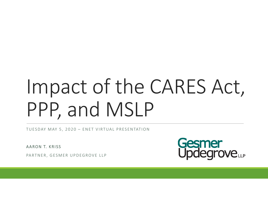# Impact of the CARES Act, PPP, and MSLP

TUESDAY MAY 5 , 2020 – ENET VIRTUAL PRESENTATION

AARON T. KRISS

PARTNER, GESMER UPDEGROVE LLP

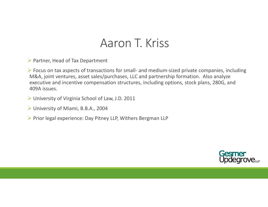## Aaron T. Kriss

Partner, Head of Tax Department

 Focus on tax aspects of transactions for small‐ and medium‐sized private companies, including M&A, joint ventures, asset sales/purchases, LLC and partnership formation. Also analyze executive and incentive compensation structures, including options, stock plans, 280G, and 409A issues.

- University of Virginia School of Law, J.D. 2011
- University of Miami, B.B.A., 2004
- ▶ Prior legal experience: Day Pitney LLP, Withers Bergman LLP

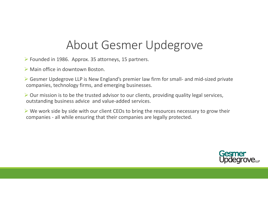## About Gesmer Updegrove

- Founded in 1986. Approx. 35 attorneys, 15 partners.
- Main office in downtown Boston.
- ► Gesmer Updegrove LLP is New England's premier law firm for small- and mid-sized private companies, technology firms, and emerging businesses.
- Our mission is to be the trusted advisor to our clients, providing quality legal services, outstanding business advice and value‐added services.
- $\triangleright$  We work side by side with our client CEOs to bring the resources necessary to grow their companies ‐ all while ensuring that their companies are legally protected.

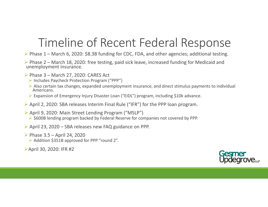# Timeline of Recent Federal Response

Phase <sup>1</sup> – March 6, 2020: \$8.3B funding for CDC, FDA, and other agencies; additional testing.

Phase <sup>2</sup> – March 18, 2020: free testing, paid sick leave, increased funding for Medicaid and unemployment insurance.

- $\triangleright$  Phase 3 March 27, 2020: CARES Act
	- Includes Paycheck Protection Program ("PPP")
	- Also certain tax changes, expanded unemployment insurance, and direct stimulus payments to individual Americans.
	- Expansion of Emergency Injury Disaster Loan ("EIDL") program, including \$10k advance.
- April 2, 2020: SBA releases Interim Final Rule ("IFR") for the PPP loan program.
- April 9, 2020: Main Street Lending Program ("MSLP")  $\triangleright$  \$600B lending program backed by Federal Reserve for companies not covered by PPP.
- April 23, 2020 SBA releases new FAQ guidance on PPP.
- Phase  $3.5$  April 24, 2020
	- Addition \$351B approved for PPP "round 2".

April 30, 2020: IFR #2

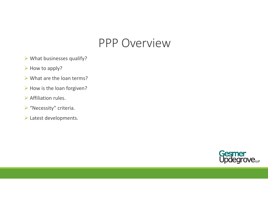### PPP Overview

- $\triangleright$  What businesses qualify?
- $\triangleright$  How to apply?
- $\triangleright$  What are the loan terms?
- $\triangleright$  How is the loan forgiven?
- $\triangleright$  Affiliation rules.
- $\triangleright$  "Necessity" criteria.
- Latest developments.

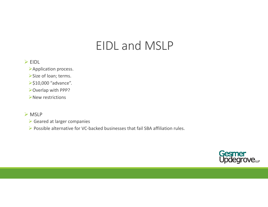# EIDL and MSLP

#### EIDL

Application process.

Size of loan; terms.

 **≻\$10,000 "advance".** 

Overlap with PPP?

New restrictions

#### > MSLP

Geared at larger companies

▶ Possible alternative for VC-backed businesses that fail SBA affiliation rules.